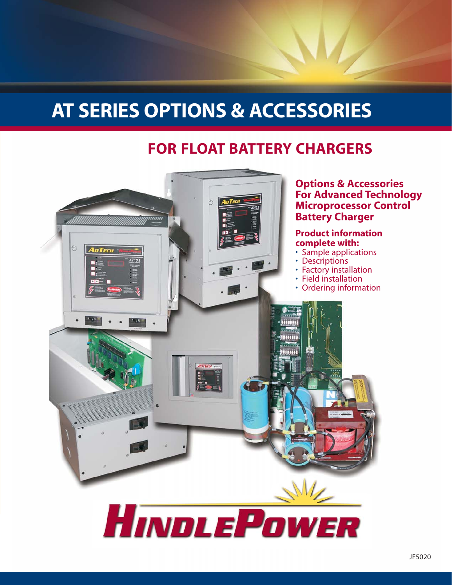## **AT SERIES OPTIONS & ACCESSORIES**

## **FOR FLOAT BATTERY CHARGERS**

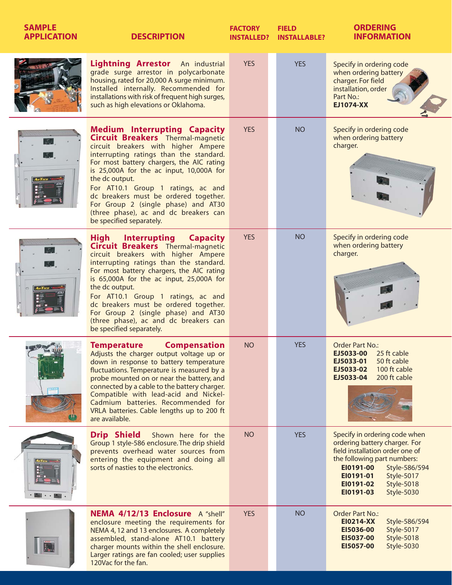| <b>SAMPLE</b><br><b>APPLICATION</b> | <b>DESCRIPTION</b>                                                                                                                                                                                                                                                                                                                                                                                                                                                                 | <b>FACTORY</b><br><b>INSTALLED?</b> | <b>FIELD</b><br><b>INSTALLABLE?</b> | <b>ORDERING</b><br><b>INFORMATION</b>                                                                                                                                                                                                                         |  |  |
|-------------------------------------|------------------------------------------------------------------------------------------------------------------------------------------------------------------------------------------------------------------------------------------------------------------------------------------------------------------------------------------------------------------------------------------------------------------------------------------------------------------------------------|-------------------------------------|-------------------------------------|---------------------------------------------------------------------------------------------------------------------------------------------------------------------------------------------------------------------------------------------------------------|--|--|
|                                     | Lightning Arrestor An industrial<br>grade surge arrestor in polycarbonate<br>housing, rated for 20,000 A surge minimum.<br>Installed internally. Recommended for<br>installations with risk of frequent high surges,<br>such as high elevations or Oklahoma.                                                                                                                                                                                                                       | <b>YES</b>                          | <b>YES</b>                          | Specify in ordering code<br>when ordering battery<br>charger. For field<br>installation, order<br>Part No.:<br><b>EJ1074-XX</b>                                                                                                                               |  |  |
| <b>AnTECH</b>                       | <b>Medium Interrupting Capacity</b><br><b>Circuit Breakers</b> Thermal-magnetic<br>circuit breakers with higher Ampere<br>interrupting ratings than the standard.<br>For most battery chargers, the AIC rating<br>is 25,000A for the ac input, 10,000A for<br>the dc output.<br>For AT10.1 Group 1 ratings, ac and<br>dc breakers must be ordered together.<br>For Group 2 (single phase) and AT30<br>(three phase), ac and dc breakers can<br>be specified separately.            | <b>YES</b>                          | <b>NO</b>                           | Specify in ordering code<br>when ordering battery<br>charger.                                                                                                                                                                                                 |  |  |
|                                     | <b>High</b><br><b>Interrupting</b><br><b>Capacity</b><br>Circuit Breakers Thermal-magnetic<br>circuit breakers with higher Ampere<br>interrupting ratings than the standard.<br>For most battery chargers, the AIC rating<br>is 65,000A for the ac input, 25,000A for<br>the dc output.<br>For AT10.1 Group 1 ratings, ac and<br>dc breakers must be ordered together.<br>For Group 2 (single phase) and AT30<br>(three phase), ac and dc breakers can<br>be specified separately. | <b>YES</b>                          | <b>NO</b>                           | Specify in ordering code<br>when ordering battery<br>charger.                                                                                                                                                                                                 |  |  |
|                                     | <b>Temperature</b><br><b>Compensation</b><br>Adjusts the charger output voltage up or<br>down in response to battery temperature<br>fluctuations. Temperature is measured by a<br>probe mounted on or near the battery, and<br>connected by a cable to the battery charger.<br>Compatible with lead-acid and Nickel-<br>Cadmium batteries. Recommended for<br>VRLA batteries. Cable lengths up to 200 ft<br>are available.                                                         | <b>NO</b>                           | <b>YES</b>                          | Order Part No.:<br><b>EJ5033-00</b> 25 ft cable<br>EJ5033-01<br>50 ft cable<br>EJ5033-02<br>100 ft cable<br>EJ5033-04<br>200 ft cable                                                                                                                         |  |  |
| $\mathbb{R}$ . $\mathbb{R}$         | <b>Drip Shield</b><br>Shown here for the<br>Group 1 style-586 enclosure. The drip shield<br>prevents overhead water sources from<br>entering the equipment and doing all<br>sorts of nasties to the electronics.                                                                                                                                                                                                                                                                   | <b>NO</b>                           | <b>YES</b>                          | Specify in ordering code when<br>ordering battery charger. For<br>field installation order one of<br>the following part numbers:<br>EI0191-00<br>Style-586/594<br>EI0191-01<br>Style-5017<br>EI0191-02<br><b>Style-5018</b><br>EI0191-03<br><b>Style-5030</b> |  |  |
|                                     | NEMA 4/12/13 Enclosure A "shell"<br>enclosure meeting the requirements for<br>NEMA 4, 12 and 13 enclosures. A completely<br>assembled, stand-alone AT10.1 battery<br>charger mounts within the shell enclosure.<br>Larger ratings are fan cooled; user supplies<br>120Vac for the fan.                                                                                                                                                                                             | <b>YES</b>                          | <b>NO</b>                           | Order Part No.:<br><b>EI0214-XX</b><br>Style-586/594<br>EI5036-00<br>Style-5017<br>EI5037-00<br><b>Style-5018</b><br>EI5057-00<br><b>Style-5030</b>                                                                                                           |  |  |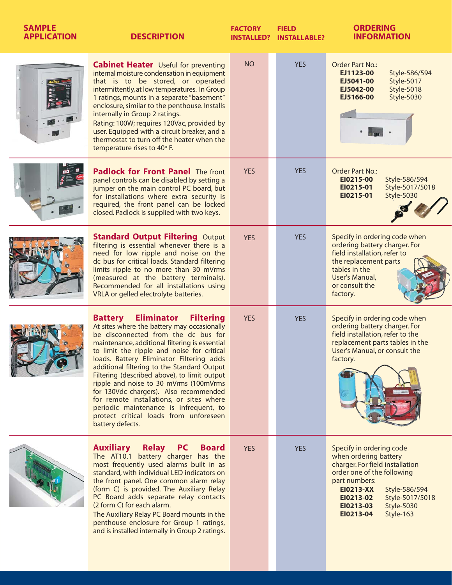| <b>SAMPLE</b><br><b>APPLICATION</b> | <b>DESCRIPTION</b>                                                                                                                                                                                                                                                                                                                                                                                                                                                                                                                                                                                                               | <b>FACTORY</b><br><b>INSTALLED?</b> | <b>FIELD</b><br><b>INSTALLABLE?</b> | <b>ORDERING</b><br><b>INFORMATION</b>                                                                                                                                                                                                                         |
|-------------------------------------|----------------------------------------------------------------------------------------------------------------------------------------------------------------------------------------------------------------------------------------------------------------------------------------------------------------------------------------------------------------------------------------------------------------------------------------------------------------------------------------------------------------------------------------------------------------------------------------------------------------------------------|-------------------------------------|-------------------------------------|---------------------------------------------------------------------------------------------------------------------------------------------------------------------------------------------------------------------------------------------------------------|
|                                     | <b>Cabinet Heater</b> Useful for preventing<br>internal moisture condensation in equipment<br>that is to be stored, or operated<br>intermittently, at low temperatures. In Group<br>1 ratings, mounts in a separate "basement"<br>enclosure, similar to the penthouse. Installs<br>internally in Group 2 ratings.<br>Rating: 100W; requires 120Vac, provided by<br>user. Equipped with a circuit breaker, and a<br>thermostat to turn off the heater when the<br>temperature rises to 40° F.                                                                                                                                     | <b>NO</b>                           | <b>YES</b>                          | <b>Order Part No.:</b><br>EJ1123-00<br>Style-586/594<br>EJ5041-00<br>Style-5017<br>EJ5042-00<br>Style-5018<br>EJ5166-00<br>Style-5030                                                                                                                         |
|                                     | <b>Padlock for Front Panel The front</b><br>panel controls can be disabled by setting a<br>jumper on the main control PC board, but<br>for installations where extra security is<br>required, the front panel can be locked<br>closed. Padlock is supplied with two keys.                                                                                                                                                                                                                                                                                                                                                        | <b>YES</b>                          | <b>YES</b>                          | <b>Order Part No.:</b><br>EI0215-00<br>Style-586/594<br>Style-5017/5018<br>EI0215-01<br>EI0215-01<br>Style-5030                                                                                                                                               |
|                                     | <b>Standard Output Filtering Output</b><br>filtering is essential whenever there is a<br>need for low ripple and noise on the<br>dc bus for critical loads. Standard filtering<br>limits ripple to no more than 30 mVrms<br>(measured at the battery terminals).<br>Recommended for all installations using<br>VRLA or gelled electrolyte batteries.                                                                                                                                                                                                                                                                             | <b>YES</b>                          | <b>YES</b>                          | Specify in ordering code when<br>ordering battery charger. For<br>field installation, refer to<br>the replacement parts<br>tables in the<br>User's Manual,<br>or consult the<br>factory.                                                                      |
|                                     | <b>Eliminator</b><br><b>Filtering</b><br><b>Battery</b><br>At sites where the battery may occasionally<br>be disconnected from the dc bus for<br>maintenance, additional filtering is essential<br>to limit the ripple and noise for critical<br>loads. Battery Eliminator Filtering adds<br>additional filtering to the Standard Output<br>Filtering (described above), to limit output<br>ripple and noise to 30 mVrms (100mVrms<br>for 130Vdc chargers). Also recommended<br>for remote installations, or sites where<br>periodic maintenance is infrequent, to<br>protect critical loads from unforeseen<br>battery defects. | <b>YES</b>                          | <b>YES</b>                          | Specify in ordering code when<br>ordering battery charger. For<br>field installation, refer to the<br>replacement parts tables in the<br>User's Manual, or consult the<br>factory.                                                                            |
|                                     | <b>Auxiliary</b><br><b>Relay</b> PC<br><b>Board</b><br>The AT10.1 battery charger has the<br>most frequently used alarms built in as<br>standard, with individual LED indicators on<br>the front panel. One common alarm relay<br>(form C) is provided. The Auxiliary Relay<br>PC Board adds separate relay contacts<br>(2 form C) for each alarm.<br>The Auxiliary Relay PC Board mounts in the<br>penthouse enclosure for Group 1 ratings,<br>and is installed internally in Group 2 ratings.                                                                                                                                  | <b>YES</b>                          | <b>YES</b>                          | Specify in ordering code<br>when ordering battery<br>charger. For field installation<br>order one of the following<br>part numbers:<br><b>EI0213-XX</b><br>Style-586/594<br>EI0213-02<br>Style-5017/5018<br>EI0213-03<br>Style-5030<br>EI0213-04<br>Style-163 |